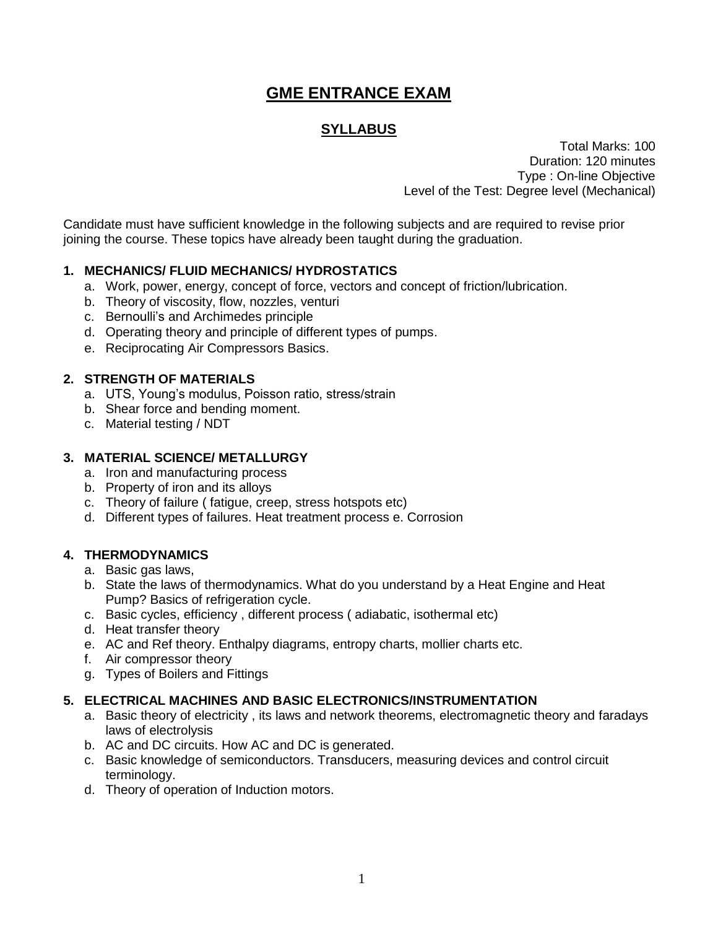# **GME ENTRANCE EXAM**

# **SYLLABUS**

Total Marks: 100 Duration: 120 minutes Type : On-line Objective Level of the Test: Degree level (Mechanical)

Candidate must have sufficient knowledge in the following subjects and are required to revise prior joining the course. These topics have already been taught during the graduation.

# **1. MECHANICS/ FLUID MECHANICS/ HYDROSTATICS**

- a. Work, power, energy, concept of force, vectors and concept of friction/lubrication.
- b. Theory of viscosity, flow, nozzles, venturi
- c. Bernoulli's and Archimedes principle
- d. Operating theory and principle of different types of pumps.
- e. Reciprocating Air Compressors Basics.

#### **2. STRENGTH OF MATERIALS**

- a. UTS, Young's modulus, Poisson ratio, stress/strain
- b. Shear force and bending moment.
- c. Material testing / NDT

#### **3. MATERIAL SCIENCE/ METALLURGY**

- a. Iron and manufacturing process
- b. Property of iron and its alloys
- c. Theory of failure ( fatigue, creep, stress hotspots etc)
- d. Different types of failures. Heat treatment process e. Corrosion

## **4. THERMODYNAMICS**

- a. Basic gas laws,
- b. State the laws of thermodynamics. What do you understand by a Heat Engine and Heat Pump? Basics of refrigeration cycle.
- c. Basic cycles, efficiency , different process ( adiabatic, isothermal etc)
- d. Heat transfer theory
- e. AC and Ref theory. Enthalpy diagrams, entropy charts, mollier charts etc.
- f. Air compressor theory
- g. Types of Boilers and Fittings

## **5. ELECTRICAL MACHINES AND BASIC ELECTRONICS/INSTRUMENTATION**

- a. Basic theory of electricity , its laws and network theorems, electromagnetic theory and faradays laws of electrolysis
- b. AC and DC circuits. How AC and DC is generated.
- c. Basic knowledge of semiconductors. Transducers, measuring devices and control circuit terminology.
- d. Theory of operation of Induction motors.